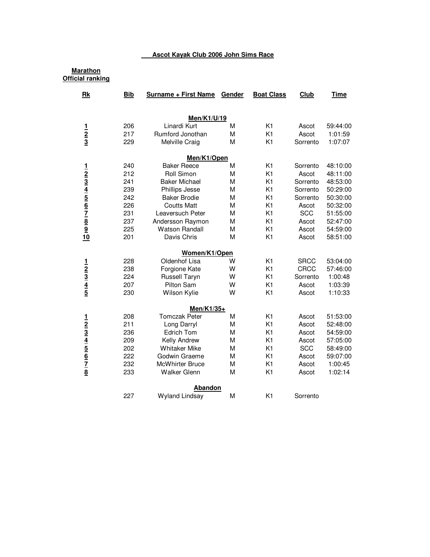## **Ascot Kayak Club 2006 John Sims Race**

| <u>Marathon</u><br><b>Official ranking</b>                                                                                     |            |                             |        |                   |             |             |
|--------------------------------------------------------------------------------------------------------------------------------|------------|-----------------------------|--------|-------------------|-------------|-------------|
| Rk                                                                                                                             | <b>Bib</b> | <b>Surname + First Name</b> | Gender | <b>Boat Class</b> | Club        | <b>Time</b> |
|                                                                                                                                |            | Men/K1/U/19                 |        |                   |             |             |
|                                                                                                                                | 206        | Linardi Kurt                | М      | K1                | Ascot       | 59:44:00    |
| $\frac{1}{2}$ $\frac{2}{3}$                                                                                                    | 217        | Rumford Jonothan            | M      | K <sub>1</sub>    | Ascot       | 1:01:59     |
|                                                                                                                                | 229        | Melville Craig              | M      | K <sub>1</sub>    | Sorrento    | 1:07:07     |
|                                                                                                                                |            | Men/K1/Open                 |        |                   |             |             |
|                                                                                                                                | 240        | <b>Baker Reece</b>          | М      | K <sub>1</sub>    | Sorrento    | 48:10:00    |
|                                                                                                                                | 212        | Roll Simon                  | M      | K <sub>1</sub>    | Ascot       | 48:11:00    |
|                                                                                                                                | 241        | <b>Baker Michael</b>        | M      | K <sub>1</sub>    | Sorrento    | 48:53:00    |
| $\frac{1}{2}$ $\frac{2}{3}$ $\frac{3}{4}$ $\frac{4}{5}$ $\frac{5}{6}$ $\frac{6}{7}$ $\frac{7}{8}$ $\frac{8}{9}$ $\frac{9}{10}$ | 239        | Phillips Jesse              | M      | K <sub>1</sub>    | Sorrento    | 50:29:00    |
|                                                                                                                                | 242        | <b>Baker Brodie</b>         | М      | K <sub>1</sub>    | Sorrento    | 50:30:00    |
|                                                                                                                                | 226        | <b>Coutts Matt</b>          | М      | K <sub>1</sub>    | Ascot       | 50:32:00    |
|                                                                                                                                | 231        | Leaversuch Peter            | M      | K <sub>1</sub>    | <b>SCC</b>  | 51:55:00    |
|                                                                                                                                | 237        | Andersson Raymon            | M      | K <sub>1</sub>    | Ascot       | 52:47:00    |
|                                                                                                                                | 225        | <b>Watson Randall</b>       | М      | K <sub>1</sub>    | Ascot       | 54:59:00    |
|                                                                                                                                | 201        | Davis Chris                 | M      | K <sub>1</sub>    | Ascot       | 58:51:00    |
|                                                                                                                                |            | Women/K1/Open               |        |                   |             |             |
|                                                                                                                                | 228        | Oldenhof Lisa               | w      | K <sub>1</sub>    | <b>SRCC</b> | 53:04:00    |
| $\frac{1}{2}$ $\frac{3}{4}$ $\frac{4}{5}$                                                                                      | 238        | Forgione Kate               | W      | K <sub>1</sub>    | <b>CRCC</b> | 57:46:00    |
|                                                                                                                                | 224        | <b>Russell Taryn</b>        | W      | K <sub>1</sub>    | Sorrento    | 1:00:48     |
|                                                                                                                                | 207        | Pilton Sam                  | W      | K <sub>1</sub>    | Ascot       | 1:03:39     |
|                                                                                                                                | 230        | Wilson Kylie                | W      | K <sub>1</sub>    | Ascot       | 1:10:33     |
|                                                                                                                                |            | Men/K1/35+                  |        |                   |             |             |
|                                                                                                                                | 208        | <b>Tomczak Peter</b>        | M      | K <sub>1</sub>    | Ascot       | 51:53:00    |
|                                                                                                                                | 211        | Long Darryl                 | М      | K <sub>1</sub>    | Ascot       | 52:48:00    |
|                                                                                                                                | 236        | Edrich Tom                  | M      | K <sub>1</sub>    | Ascot       | 54:59:00    |
| $\frac{1}{2}$ $\frac{2}{3}$ $\frac{4}{4}$ $\frac{5}{5}$ $\frac{6}{7}$ $\frac{7}{8}$                                            | 209        | Kelly Andrew                | М      | K <sub>1</sub>    | Ascot       | 57:05:00    |
|                                                                                                                                | 202        | <b>Whitaker Mike</b>        | M      | K <sub>1</sub>    | <b>SCC</b>  | 58:49:00    |
|                                                                                                                                | 222        | Godwin Graeme               | M      | K <sub>1</sub>    | Ascot       | 59:07:00    |
|                                                                                                                                | 232        | <b>McWhirter Bruce</b>      | M      | K <sub>1</sub>    | Ascot       | 1:00:45     |
|                                                                                                                                | 233        | <b>Walker Glenn</b>         | M      | K <sub>1</sub>    | Ascot       | 1:02:14     |
|                                                                                                                                |            | Abandon                     |        |                   |             |             |
|                                                                                                                                | 227        | <b>Wyland Lindsay</b>       | М      | K <sub>1</sub>    | Sorrento    |             |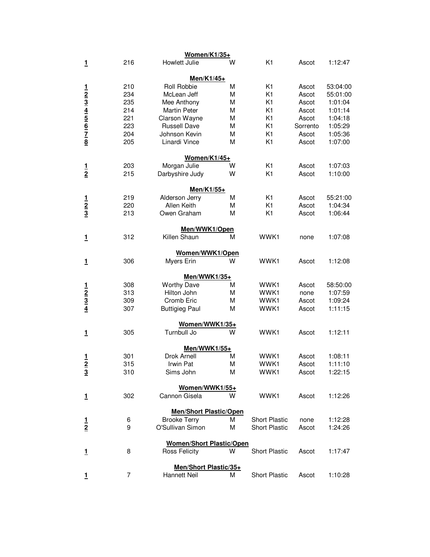|                                                                                     |     | Women/K1/35+                    |   |                      |          |          |
|-------------------------------------------------------------------------------------|-----|---------------------------------|---|----------------------|----------|----------|
| $\overline{1}$                                                                      | 216 | Howlett Julie                   | w | K <sub>1</sub>       | Ascot    | 1:12:47  |
|                                                                                     |     | Men/K1/45+                      |   |                      |          |          |
|                                                                                     | 210 | Roll Robbie                     | M | K1                   | Ascot    | 53:04:00 |
|                                                                                     | 234 | McLean Jeff                     | М | K <sub>1</sub>       | Ascot    | 55:01:00 |
|                                                                                     | 235 | Mee Anthony                     | М | K1                   | Ascot    | 1:01:04  |
|                                                                                     | 214 | <b>Martin Peter</b>             | М | K1                   | Ascot    | 1:01:14  |
|                                                                                     | 221 | Clarson Wayne                   | M | K1                   | Ascot    | 1:04:18  |
|                                                                                     | 223 | <b>Russell Dave</b>             | М | K1                   | Sorrento | 1:05:29  |
|                                                                                     | 204 | Johnson Kevin                   | М | K1                   | Ascot    | 1:05:36  |
| $\frac{1}{2}$ $\frac{3}{4}$ $\frac{4}{5}$ $\frac{6}{6}$ $\frac{7}{7}$ $\frac{8}{8}$ | 205 | Linardi Vince                   | М | K1                   | Ascot    | 1:07:00  |
|                                                                                     |     | Women/K1/45+                    |   |                      |          |          |
|                                                                                     | 203 | Morgan Julie                    | w | K1                   | Ascot    | 1:07:03  |
| $\frac{1}{2}$                                                                       | 215 | Darbyshire Judy                 | W | K1                   | Ascot    | 1:10:00  |
|                                                                                     |     | Men/K1/55+                      |   |                      |          |          |
|                                                                                     | 219 | Alderson Jerry                  | M | K1                   | Ascot    | 55:21:00 |
|                                                                                     | 220 | Allen Keith                     | М | K1                   | Ascot    | 1:04:34  |
| $\frac{1}{2}$ $\frac{2}{3}$                                                         | 213 | Owen Graham                     | М | K1                   | Ascot    | 1:06:44  |
|                                                                                     |     | Men/WWK1/Open                   |   |                      |          |          |
| 1                                                                                   | 312 | Killen Shaun                    | М | WWK1                 | none     | 1:07:08  |
|                                                                                     |     | Women/WWK1/Open                 |   |                      |          |          |
| <u>1</u>                                                                            | 306 | Myers Erin                      | W | WWK1                 | Ascot    | 1:12:08  |
|                                                                                     |     | Men/WWK1/35+                    |   |                      |          |          |
|                                                                                     | 308 | <b>Worthy Dave</b>              | М | WWK1                 | Ascot    | 58:50:00 |
|                                                                                     | 313 | Hilton John                     | М | WWK1                 | none     | 1:07:59  |
| $\frac{1}{2}$ $\frac{2}{3}$ $\frac{3}{4}$                                           | 309 | Cromb Eric                      | M | WWK1                 | Ascot    | 1:09:24  |
|                                                                                     | 307 | <b>Buttigieg Paul</b>           | М | WWK1                 | Ascot    | 1:11:15  |
|                                                                                     |     | Women/WWK1/35+                  |   |                      |          |          |
| 1                                                                                   | 305 | Turnbull Jo                     | w | WWK1                 | Ascot    | 1:12:11  |
|                                                                                     |     | Men/WWK1/55+                    |   |                      |          |          |
| $\frac{1}{2}$                                                                       | 301 | Drok Arnell                     | М | WWK1                 | Ascot    | 1:08:11  |
|                                                                                     | 315 | Irwin Pat                       | М | WWK1                 | Ascot    | 1:11:10  |
| $\overline{3}$                                                                      | 310 | Sims John                       | М | WWK1                 | Ascot    | 1:22:15  |
|                                                                                     |     | Women/WWK1/55+                  |   |                      |          |          |
| 1                                                                                   | 302 | Cannon Gisela                   | W | WWK1                 | Ascot    | 1:12:26  |
|                                                                                     |     | <b>Men/Short Plastic/Open</b>   |   |                      |          |          |
| $\frac{1}{2}$                                                                       | 6   | <b>Brooke Terry</b>             | м | <b>Short Plastic</b> | none     | 1:12:28  |
|                                                                                     | 9   | O'Sullivan Simon                | М | <b>Short Plastic</b> | Ascot    | 1:24:26  |
|                                                                                     |     | <b>Women/Short Plastic/Open</b> |   |                      |          |          |
| 1                                                                                   | 8   | <b>Ross Felicity</b>            | W | <b>Short Plastic</b> | Ascot    | 1:17:47  |
|                                                                                     |     | Men/Short Plastic/35+           |   |                      |          |          |
| 1                                                                                   | 7   | Hannett Neil                    | М | <b>Short Plastic</b> | Ascot    | 1:10:28  |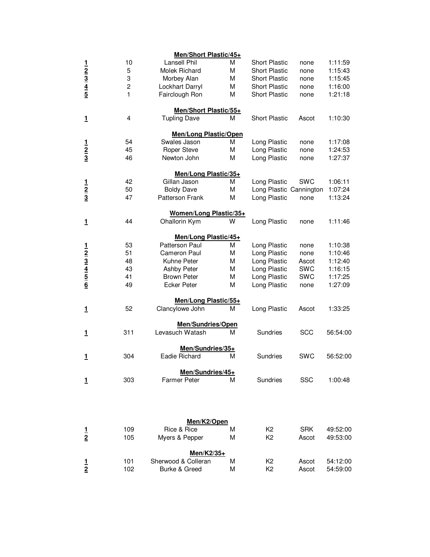|                                                                       |                | Men/Short Plastic/45+        |   |                         |            |          |
|-----------------------------------------------------------------------|----------------|------------------------------|---|-------------------------|------------|----------|
|                                                                       | 10             | Lansell Phil                 | м | <b>Short Plastic</b>    | none       | 1:11:59  |
|                                                                       | 5              | Molek Richard                | М | <b>Short Plastic</b>    | none       | 1:15:43  |
|                                                                       | 3              | Morbey Alan                  | М | <b>Short Plastic</b>    | none       | 1:15:45  |
| $\frac{1}{2}$ $\frac{2}{3}$ $\frac{4}{5}$                             | $\overline{c}$ | Lockhart Darryl              | М | <b>Short Plastic</b>    | none       | 1:16:00  |
|                                                                       | 1              | Fairclough Ron               | M | <b>Short Plastic</b>    | none       | 1:21:18  |
|                                                                       |                | <b>Men/Short Plastic/55+</b> |   |                         |            |          |
| 1                                                                     | 4              | <b>Tupling Dave</b>          | М | <b>Short Plastic</b>    | Ascot      | 1:10:30  |
|                                                                       |                | <b>Men/Long Plastic/Open</b> |   |                         |            |          |
|                                                                       | 54             | Swales Jason                 | М | Long Plastic            | none       | 1:17:08  |
| $\frac{1}{2}$ $\frac{1}{3}$                                           | 45             | <b>Roper Steve</b>           | М | Long Plastic            | none       | 1:24:53  |
|                                                                       | 46             | Newton John                  | M | Long Plastic            | none       | 1:27:37  |
|                                                                       |                | Men/Long Plastic/35+         |   |                         |            |          |
|                                                                       | 42             | Gillan Jason                 | М | Long Plastic            | <b>SWC</b> | 1:06:11  |
| $\frac{1}{2}$ $\frac{2}{3}$                                           | 50             | <b>Boldy Dave</b>            | М | Long Plastic Cannington |            | 1:07:24  |
|                                                                       | 47             | <b>Patterson Frank</b>       | M | Long Plastic            | none       | 1:13:24  |
|                                                                       |                | Women/Long Plastic/35+       |   |                         |            |          |
| 1                                                                     | 44             | Ohallorin Kym                | w | Long Plastic            | none       | 1:11:46  |
|                                                                       |                | Men/Long Plastic/45+         |   |                         |            |          |
|                                                                       | 53             | Patterson Paul               | М | Long Plastic            | none       | 1:10:38  |
|                                                                       | 51             | Cameron Paul                 | М | Long Plastic            | none       | 1:10:46  |
| $\frac{1}{2}$ $\frac{2}{3}$ $\frac{3}{4}$ $\frac{4}{5}$ $\frac{5}{6}$ | 48             | Kuhne Peter                  | М | Long Plastic            | Ascot      | 1:12:40  |
|                                                                       | 43             | Ashby Peter                  | М | Long Plastic            | SWC        | 1:16:15  |
|                                                                       | 41             | <b>Brown Peter</b>           | М | Long Plastic            | <b>SWC</b> | 1:17:25  |
|                                                                       | 49             | <b>Ecker Peter</b>           | М | Long Plastic            | none       | 1:27:09  |
|                                                                       |                | Men/Long Plastic/55+         |   |                         |            |          |
| 1                                                                     | 52             | Clancylowe John              | М | Long Plastic            | Ascot      | 1:33:25  |
|                                                                       |                | Men/Sundries/Open            |   |                         |            |          |
| 1                                                                     | 311            | Levasuch Watash              | м | Sundries                | <b>SCC</b> | 56:54:00 |
|                                                                       |                | Men/Sundries/35+             |   |                         |            |          |
| 1                                                                     | 304            | Eadie Richard                | М | Sundries                | <b>SWC</b> | 56:52:00 |
|                                                                       |                | Men/Sundries/45+             |   |                         |            |          |
| 1                                                                     | 303            | <b>Farmer Peter</b>          | м | Sundries                | <b>SSC</b> | 1:00:48  |
|                                                                       |                |                              |   |                         |            |          |
|                                                                       |                | Men/K2/Open                  |   |                         |            |          |
| $\frac{1}{2}$                                                         | 109            | Rice & Rice                  | M | K <sub>2</sub>          | <b>SRK</b> | 49:52:00 |
|                                                                       | 105            | Myers & Pepper               | М | K <sub>2</sub>          | Ascot      | 49:53:00 |
|                                                                       |                | Men/K2/35+                   |   |                         |            |          |
| $\frac{1}{2}$                                                         | 101            | Sherwood & Colleran          | M | K <sub>2</sub>          | Ascot      | 54:12:00 |
|                                                                       | 102            | Burke & Greed                | М | K <sub>2</sub>          | Ascot      | 54:59:00 |